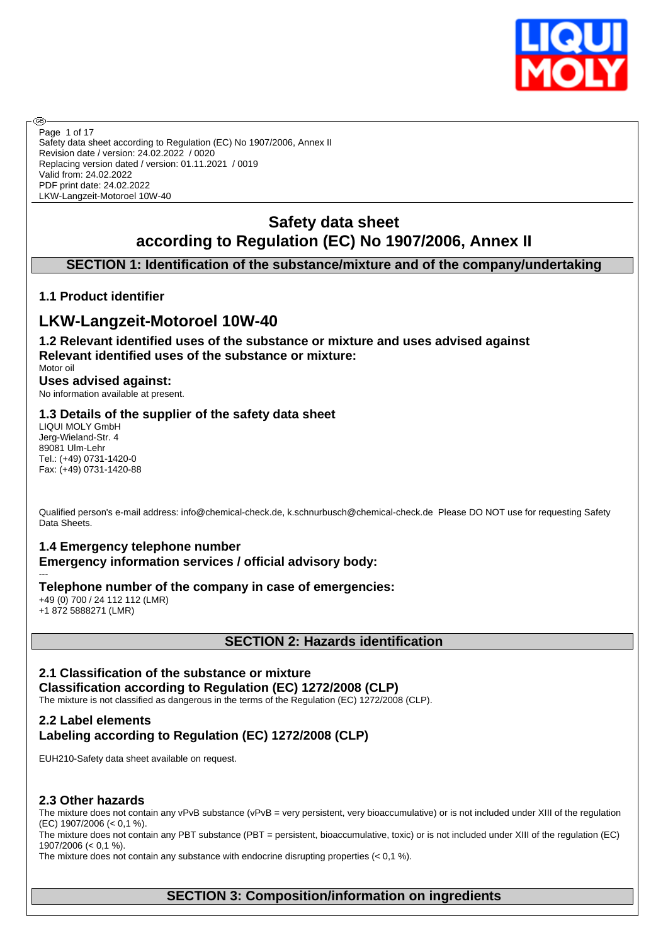

Safety data sheet according to Regulation (EC) No 1907/2006, Annex II Revision date / version: 24.02.2022 / 0020 Replacing version dated / version: 01.11.2021 / 0019 Valid from: 24.02.2022 PDF print date: 24.02.2022 LKW-Langzeit-Motoroel 10W-40 Page 1 of 17

# **Safety data sheet according to Regulation (EC) No 1907/2006, Annex II**

# **SECTION 1: Identification of the substance/mixture and of the company/undertaking**

### **1.1 Product identifier**

൹

# **LKW-Langzeit-Motoroel 10W-40**

**1.2 Relevant identified uses of the substance or mixture and uses advised against Relevant identified uses of the substance or mixture:**

Motor oil **Uses advised against:** No information available at present.

### **1.3 Details of the supplier of the safety data sheet**

LIQUI MOLY GmbH Jerg-Wieland-Str. 4 89081 Ulm-Lehr Tel.: (+49) 0731-1420-0 Fax: (+49) 0731-1420-88

Qualified person's e-mail address: info@chemical-check.de, k.schnurbusch@chemical-check.de Please DO NOT use for requesting Safety Data Sheets.

### **1.4 Emergency telephone number**

**Emergency information services / official advisory body:**

#### --- **Telephone number of the company in case of emergencies:**

+49 (0) 700 / 24 112 112 (LMR) +1 872 5888271 (LMR)

### **SECTION 2: Hazards identification**

# **2.1 Classification of the substance or mixture**

**Classification according to Regulation (EC) 1272/2008 (CLP)** The mixture is not classified as dangerous in the terms of the Regulation (EC) 1272/2008 (CLP).

### **2.2 Label elements Labeling according to Regulation (EC) 1272/2008 (CLP)**

EUH210-Safety data sheet available on request.

### **2.3 Other hazards**

The mixture does not contain any vPvB substance (vPvB = very persistent, very bioaccumulative) or is not included under XIII of the regulation (EC) 1907/2006 (< 0,1 %).

The mixture does not contain any PBT substance (PBT = persistent, bioaccumulative, toxic) or is not included under XIII of the regulation (EC) 1907/2006 (< 0,1 %).

The mixture does not contain any substance with endocrine disrupting properties  $(< 0.1 \%)$ .

### **SECTION 3: Composition/information on ingredients**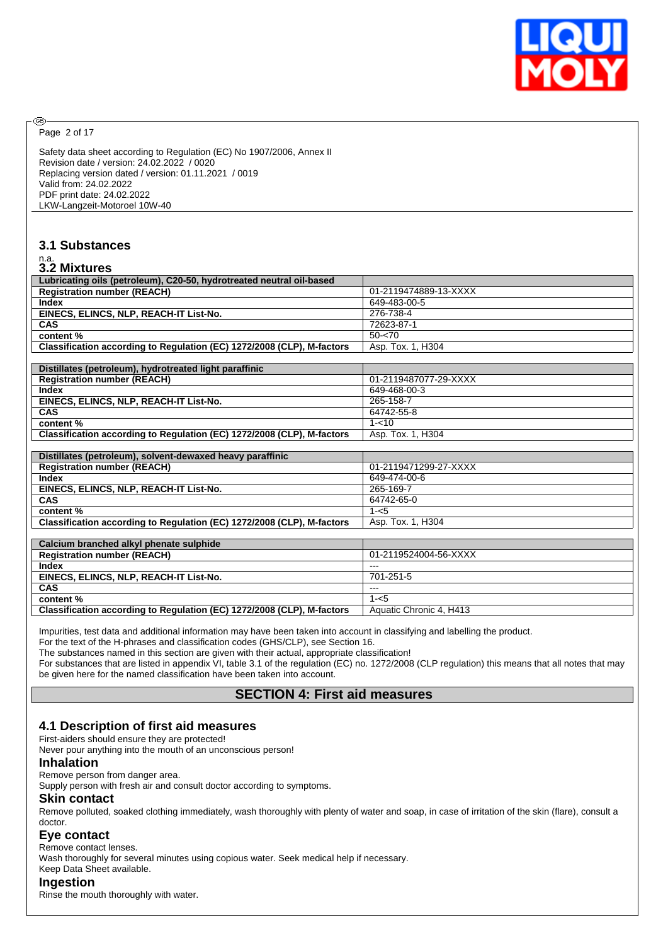

Page 2 of 17

@

Safety data sheet according to Regulation (EC) No 1907/2006, Annex II Revision date / version: 24.02.2022 / 0020 Replacing version dated / version: 01.11.2021 / 0019 Valid from: 24.02.2022 PDF print date: 24.02.2022 LKW-Langzeit-Motoroel 10W-40

### **3.1 Substances**

# n.a. **3.2 Mixtures**

| J.Z MIXLUIES                                                           |                       |
|------------------------------------------------------------------------|-----------------------|
| Lubricating oils (petroleum), C20-50, hydrotreated neutral oil-based   |                       |
| <b>Registration number (REACH)</b>                                     | 01-2119474889-13-XXXX |
| Index                                                                  | 649-483-00-5          |
| EINECS, ELINCS, NLP, REACH-IT List-No.                                 | 276-738-4             |
| <b>CAS</b>                                                             | 72623-87-1            |
| content %                                                              | $50 - 70$             |
| Classification according to Regulation (EC) 1272/2008 (CLP), M-factors | Asp. Tox. 1, H304     |
|                                                                        |                       |
| Distillates (petroleum), hydrotreated light paraffinic                 |                       |
| <b>Registration number (REACH)</b>                                     | 01-2119487077-29-XXXX |
| <b>Index</b>                                                           | 649-468-00-3          |
| EINECS, ELINCS, NLP, REACH-IT List-No.                                 | 265-158-7             |
| CAS                                                                    | 64742-55-8            |
| content %                                                              | $1 - 10$              |
| Classification according to Regulation (EC) 1272/2008 (CLP), M-factors | Asp. Tox. 1, H304     |
|                                                                        |                       |
|                                                                        |                       |
| Distillates (petroleum), solvent-dewaxed heavy paraffinic              |                       |
| <b>Registration number (REACH)</b>                                     | 01-2119471299-27-XXXX |
| Index                                                                  | 649-474-00-6          |
| EINECS, ELINCS, NLP, REACH-IT List-No.                                 | 265-169-7             |
| CAS                                                                    | 64742-65-0            |
| content %                                                              | $1 - 5$               |
| Classification according to Regulation (EC) 1272/2008 (CLP), M-factors | Asp. Tox. 1, H304     |
|                                                                        |                       |
| Calcium branched alkyl phenate sulphide                                |                       |
| <b>Registration number (REACH)</b>                                     | 01-2119524004-56-XXXX |
| Index                                                                  | $---$                 |
| EINECS, ELINCS, NLP, REACH-IT List-No.                                 | 701-251-5             |
| CAS                                                                    | ---                   |
| content %                                                              | $1 - 5$               |

Impurities, test data and additional information may have been taken into account in classifying and labelling the product.

For the text of the H-phrases and classification codes (GHS/CLP), see Section 16.

The substances named in this section are given with their actual, appropriate classification!

For substances that are listed in appendix VI, table 3.1 of the regulation (EC) no. 1272/2008 (CLP regulation) this means that all notes that may be given here for the named classification have been taken into account.

# **SECTION 4: First aid measures**

### **4.1 Description of first aid measures**

First-aiders should ensure they are protected!

Never pour anything into the mouth of an unconscious person!

#### **Inhalation**

Remove person from danger area.

Supply person with fresh air and consult doctor according to symptoms.

#### **Skin contact**

Remove polluted, soaked clothing immediately, wash thoroughly with plenty of water and soap, in case of irritation of the skin (flare), consult a doctor.

#### **Eye contact**

Remove contact lenses.

Wash thoroughly for several minutes using copious water. Seek medical help if necessary.

Keep Data Sheet available.

### **Ingestion**

Rinse the mouth thoroughly with water.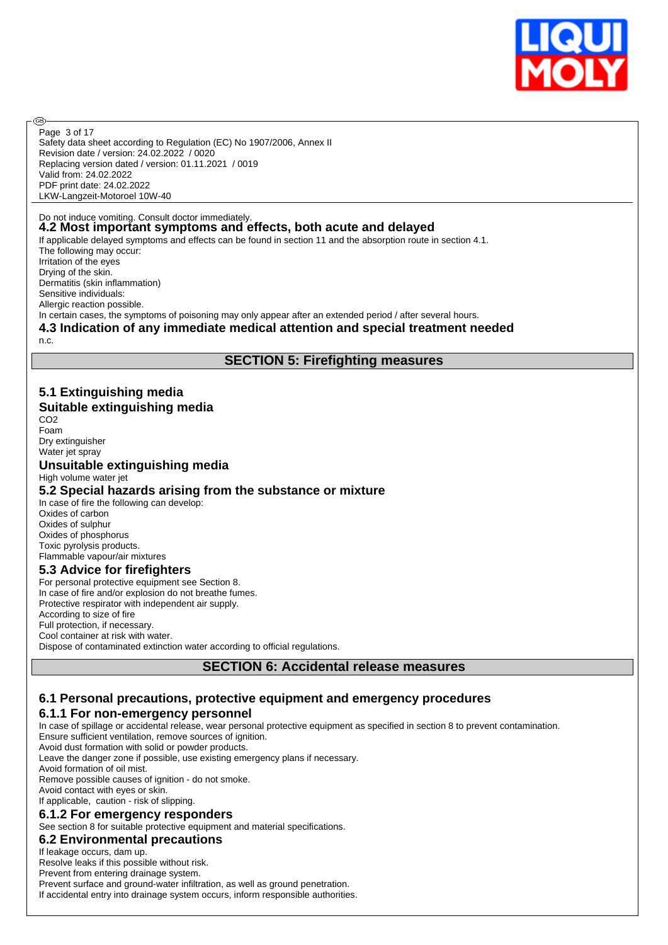

Safety data sheet according to Regulation (EC) No 1907/2006, Annex II Revision date / version: 24.02.2022 / 0020 Replacing version dated / version: 01.11.2021 / 0019 Valid from: 24.02.2022 PDF print date: 24.02.2022 LKW-Langzeit-Motoroel 10W-40 Page 3 of 17

#### Do not induce vomiting. Consult doctor immediately. **4.2 Most important symptoms and effects, both acute and delayed**

If applicable delayed symptoms and effects can be found in section 11 and the absorption route in section 4.1. The following may occur: Irritation of the eyes Drying of the skin. Dermatitis (skin inflammation) Sensitive individuals: Allergic reaction possible. In certain cases, the symptoms of poisoning may only appear after an extended period / after several hours.

### **4.3 Indication of any immediate medical attention and special treatment needed**

n.c.

അ

# **SECTION 5: Firefighting measures**

### **5.1 Extinguishing media Suitable extinguishing media**

CO<sub>2</sub> Foam Dry extinguisher Water jet spray

### **Unsuitable extinguishing media**

High volume water jet

### **5.2 Special hazards arising from the substance or mixture**

In case of fire the following can develop: Oxides of carbon Oxides of sulphur Oxides of phosphorus Toxic pyrolysis products. Flammable vapour/air mixtures

### **5.3 Advice for firefighters**

For personal protective equipment see Section 8. In case of fire and/or explosion do not breathe fumes. Protective respirator with independent air supply. According to size of fire Full protection, if necessary. Cool container at risk with water. Dispose of contaminated extinction water according to official regulations.

### **SECTION 6: Accidental release measures**

### **6.1 Personal precautions, protective equipment and emergency procedures**

### **6.1.1 For non-emergency personnel**

In case of spillage or accidental release, wear personal protective equipment as specified in section 8 to prevent contamination. Ensure sufficient ventilation, remove sources of ignition.

Avoid dust formation with solid or powder products.

Leave the danger zone if possible, use existing emergency plans if necessary.

Avoid formation of oil mist.

Remove possible causes of ignition - do not smoke.

Avoid contact with eyes or skin.

# If applicable, caution - risk of slipping.

# **6.1.2 For emergency responders**

See section 8 for suitable protective equipment and material specifications.

# **6.2 Environmental precautions**

If leakage occurs, dam up.

Resolve leaks if this possible without risk. Prevent from entering drainage system.

Prevent surface and ground-water infiltration, as well as ground penetration.

If accidental entry into drainage system occurs, inform responsible authorities.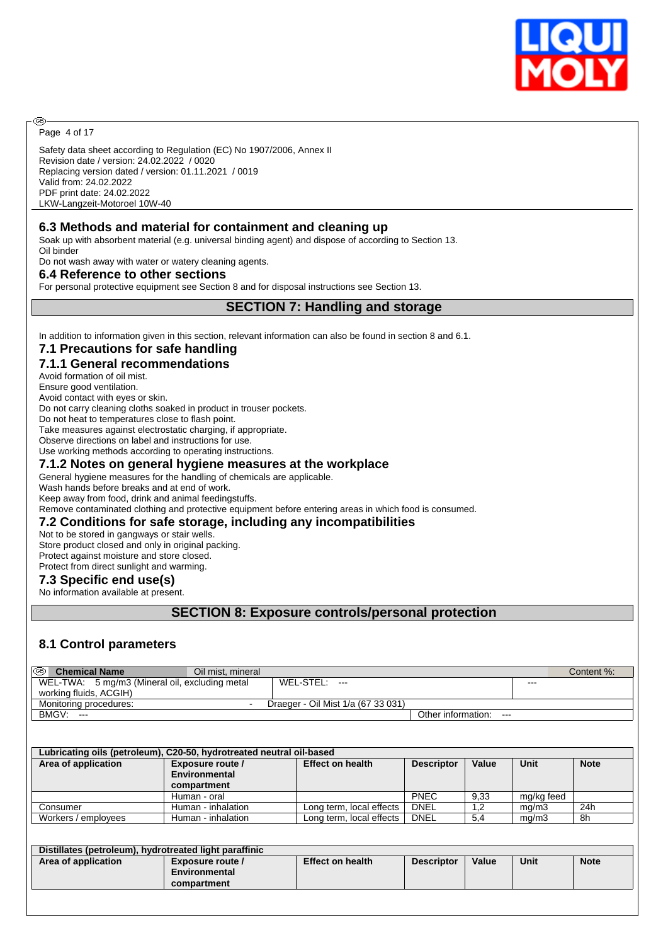

Page 4 of 17

@

Safety data sheet according to Regulation (EC) No 1907/2006, Annex II Revision date / version: 24.02.2022 / 0020 Replacing version dated / version: 01.11.2021 / 0019 Valid from: 24.02.2022 PDF print date: 24.02.2022 LKW-Langzeit-Motoroel 10W-40

### **6.3 Methods and material for containment and cleaning up**

Soak up with absorbent material (e.g. universal binding agent) and dispose of according to Section 13. Oil binder

Do not wash away with water or watery cleaning agents.

#### **6.4 Reference to other sections**

For personal protective equipment see Section 8 and for disposal instructions see Section 13.

#### **SECTION 7: Handling and storage**

In addition to information given in this section, relevant information can also be found in section 8 and 6.1.

#### **7.1 Precautions for safe handling**

### **7.1.1 General recommendations**

Avoid formation of oil mist.

Ensure good ventilation. Avoid contact with eyes or skin.

Do not carry cleaning cloths soaked in product in trouser pockets.

Do not heat to temperatures close to flash point.

Take measures against electrostatic charging, if appropriate.

Observe directions on label and instructions for use.

Use working methods according to operating instructions.

#### **7.1.2 Notes on general hygiene measures at the workplace**

General hygiene measures for the handling of chemicals are applicable.

Wash hands before breaks and at end of work.

Keep away from food, drink and animal feedingstuffs.

Remove contaminated clothing and protective equipment before entering areas in which food is consumed.

#### **7.2 Conditions for safe storage, including any incompatibilities**

Not to be stored in gangways or stair wells.

Store product closed and only in original packing.

Protect against moisture and store closed. Protect from direct sunlight and warming.

### **7.3 Specific end use(s)**

No information available at present.

### **SECTION 8: Exposure controls/personal protection**

### **8.1 Control parameters**

| @<br><b>Chemical Name</b>                      | Oil mist, mineral |                                    |                           |         | Content %: |
|------------------------------------------------|-------------------|------------------------------------|---------------------------|---------|------------|
| WEL-TWA: 5 mg/m3 (Mineral oil, excluding metal |                   | WEL-STEL:<br>$---$                 |                           | $- - -$ |            |
| working fluids, ACGIH)                         |                   |                                    |                           |         |            |
| Monitoring procedures:                         | . .               | Draeger - Oil Mist 1/a (67 33 031) |                           |         |            |
| BMGV:<br>$---$                                 |                   |                                    | Other information:<br>$-$ |         |            |

| Lubricating oils (petroleum), C20-50, hydrotreated neutral oil-based |                                                                                                  |                          |             |      |            |     |  |  |  |
|----------------------------------------------------------------------|--------------------------------------------------------------------------------------------------|--------------------------|-------------|------|------------|-----|--|--|--|
| Area of application                                                  | <b>Effect on health</b><br>Value<br>Unit<br><b>Note</b><br>Exposure route /<br><b>Descriptor</b> |                          |             |      |            |     |  |  |  |
|                                                                      | Environmental                                                                                    |                          |             |      |            |     |  |  |  |
|                                                                      | compartment                                                                                      |                          |             |      |            |     |  |  |  |
|                                                                      | Human - oral                                                                                     |                          | <b>PNEC</b> | 9,33 | mg/kg feed |     |  |  |  |
| Consumer                                                             | Human - inhalation                                                                               | Long term, local effects | <b>DNEL</b> | 1.2  | mq/m3      | 24h |  |  |  |
| Workers / employees                                                  | Human - inhalation                                                                               | Long term, local effects | DNEL        | 5.4  | mq/m3      | -8h |  |  |  |

| Distillates (petroleum), hydrotreated light paraffinic |                                                  |                         |                   |       |             |             |  |
|--------------------------------------------------------|--------------------------------------------------|-------------------------|-------------------|-------|-------------|-------------|--|
| Area of application                                    | Exposure route /<br>Environmental<br>compartment | <b>Effect on health</b> | <b>Descriptor</b> | Value | <b>Unit</b> | <b>Note</b> |  |
|                                                        |                                                  |                         |                   |       |             |             |  |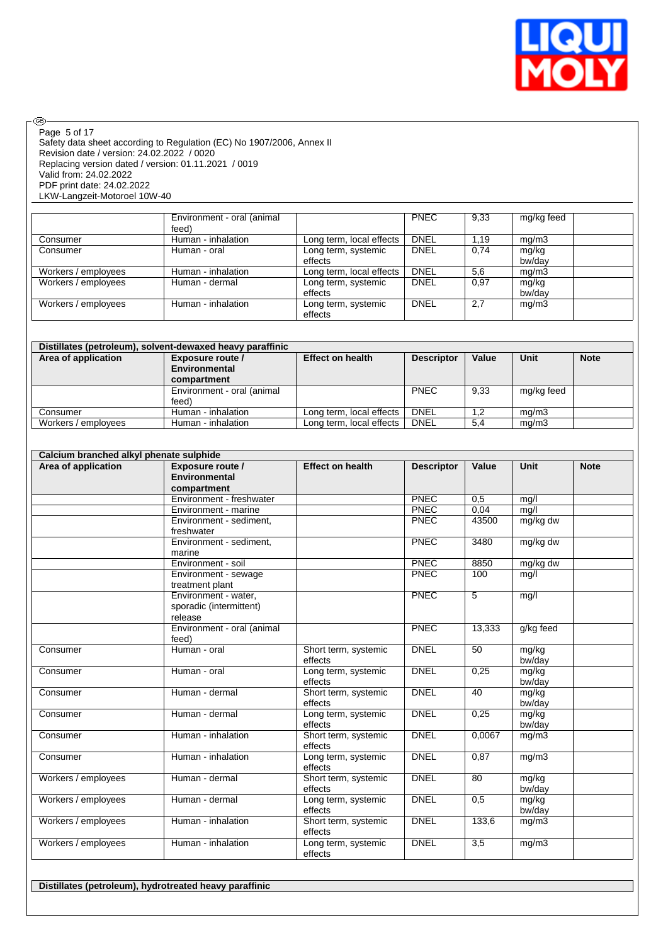

 $\circledcirc$ Page 5 of 17

Safety data sheet according to Regulation (EC) No 1907/2006, Annex II Revision date / version: 24.02.2022 / 0020 Replacing version dated / version: 01.11.2021 / 0019 Valid from: 24.02.2022 PDF print date: 24.02.2022 LKW-Langzeit-Motoroel 10W-40

|                     | Environment - oral (animal<br>feed) |                                | <b>PNEC</b> | 9,33 | mg/kg feed      |
|---------------------|-------------------------------------|--------------------------------|-------------|------|-----------------|
| Consumer            | Human - inhalation                  | Long term, local effects       | <b>DNEL</b> | 1.19 | mg/m3           |
| Consumer            | Human - oral                        | Long term, systemic<br>effects | <b>DNEL</b> | 0.74 | mg/kg<br>bw/dav |
| Workers / employees | Human - inhalation                  | Long term, local effects       | <b>DNEL</b> | 5.6  | mq/m3           |
| Workers / employees | Human - dermal                      | Long term, systemic<br>effects | <b>DNEL</b> | 0.97 | mg/kg<br>bw/dav |
| Workers / employees | Human - inhalation                  | Long term, systemic<br>effects | <b>DNEL</b> | 2,7  | mq/m3           |

| Distillates (petroleum), solvent-dewaxed heavy paraffinic |                                   |                          |                   |       |             |             |  |  |
|-----------------------------------------------------------|-----------------------------------|--------------------------|-------------------|-------|-------------|-------------|--|--|
| Area of application                                       | Exposure route /<br>Environmental | <b>Effect on health</b>  | <b>Descriptor</b> | Value | <b>Unit</b> | <b>Note</b> |  |  |
|                                                           | compartment                       |                          |                   |       |             |             |  |  |
|                                                           | Environment - oral (animal        |                          | <b>PNEC</b>       | 9,33  | mg/kg feed  |             |  |  |
|                                                           | feed)                             |                          |                   |       |             |             |  |  |
| Consumer                                                  | Human - inhalation                | Long term, local effects | DNEL              | 1.2   | ma/m3       |             |  |  |
| Workers / employees                                       | Human - inhalation                | Long term, local effects | <b>DNEL</b>       | 5,4   | mq/m3       |             |  |  |

| Calcium branched alkyl phenate sulphide |                                                            |                                 |                   |                |                 |             |
|-----------------------------------------|------------------------------------------------------------|---------------------------------|-------------------|----------------|-----------------|-------------|
| Area of application                     | Exposure route /<br>Environmental<br>compartment           | <b>Effect on health</b>         | <b>Descriptor</b> | Value          | <b>Unit</b>     | <b>Note</b> |
|                                         | Environment - freshwater                                   |                                 | PNEC              | 0.5            | mq/l            |             |
|                                         | Environment - marine                                       |                                 | <b>PNEC</b>       | 0.04           | mq/l            |             |
|                                         | Environment - sediment,<br>freshwater                      |                                 | <b>PNEC</b>       | 43500          | mg/kg dw        |             |
|                                         | Environment - sediment,<br>marine                          |                                 | <b>PNEC</b>       | 3480           | mg/kg dw        |             |
|                                         | Environment - soil                                         |                                 | <b>PNEC</b>       | 8850           | mg/kg dw        |             |
|                                         | Environment - sewage<br>treatment plant                    |                                 | PNEC              | 100            | mq/l            |             |
|                                         | Environment - water.<br>sporadic (intermittent)<br>release |                                 | PNEC              | $\overline{5}$ | mg/l            |             |
|                                         | Environment - oral (animal<br>feed)                        |                                 | <b>PNEC</b>       | 13.333         | g/kg feed       |             |
| Consumer                                | Human - oral                                               | Short term, systemic<br>effects | <b>DNEL</b>       | 50             | mg/kg<br>bw/day |             |
| Consumer                                | Human - oral                                               | Long term, systemic<br>effects  | <b>DNEL</b>       | 0,25           | mg/kg<br>bw/day |             |
| Consumer                                | Human - dermal                                             | Short term, systemic<br>effects | <b>DNEL</b>       | 40             | mg/kg<br>bw/day |             |
| Consumer                                | Human - dermal                                             | Long term, systemic<br>effects  | <b>DNEL</b>       | 0,25           | mg/kg<br>bw/day |             |
| Consumer                                | Human - inhalation                                         | Short term, systemic<br>effects | <b>DNEL</b>       | 0.0067         | mg/m3           |             |
| Consumer                                | Human - inhalation                                         | Long term, systemic<br>effects  | <b>DNEL</b>       | 0.87           | mg/m3           |             |
| Workers / employees                     | Human - dermal                                             | Short term, systemic<br>effects | <b>DNEL</b>       | 80             | mg/kg<br>bw/day |             |
| Workers / employees                     | Human - dermal                                             | Long term, systemic<br>effects  | <b>DNEL</b>       | 0,5            | mg/kg<br>bw/day |             |
| Workers / employees                     | Human - inhalation                                         | Short term, systemic<br>effects | <b>DNEL</b>       | 133.6          | mg/m3           |             |
| Workers / employees                     | Human - inhalation                                         | Long term, systemic<br>effects  | <b>DNEL</b>       | 3,5            | mg/m3           |             |

**Distillates (petroleum), hydrotreated heavy paraffinic**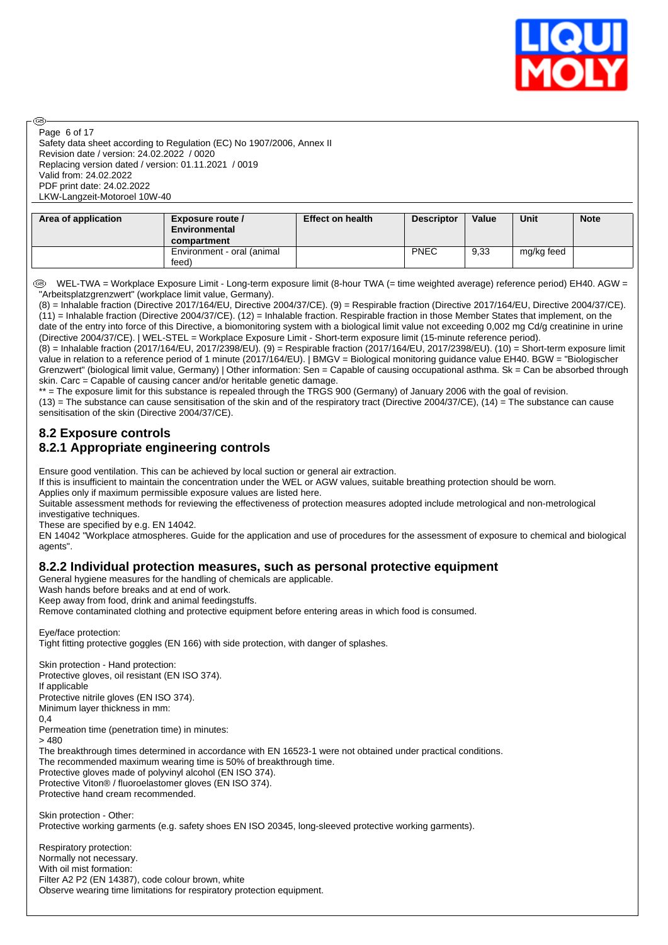

Safety data sheet according to Regulation (EC) No 1907/2006, Annex II Revision date / version: 24.02.2022 / 0020 Replacing version dated / version: 01.11.2021 / 0019 Valid from: 24.02.2022 PDF print date: 24.02.2022 LKW-Langzeit-Motoroel 10W-40 Page 6 of 17

അ

| Area of application | Exposure route /<br>Environmental<br>compartment | <b>Effect on health</b> | <b>Descriptor</b> | Value | Unit       | <b>Note</b> |
|---------------------|--------------------------------------------------|-------------------------|-------------------|-------|------------|-------------|
|                     | Environment - oral (animal<br>feed)              |                         | <b>PNEC</b>       | 9,33  | mg/kg feed |             |

 WEL-TWA = Workplace Exposure Limit - Long-term exposure limit (8-hour TWA (= time weighted average) reference period) EH40. AGW = "Arbeitsplatzgrenzwert" (workplace limit value, Germany).

(8) = Inhalable fraction (Directive 2017/164/EU, Directive 2004/37/CE). (9) = Respirable fraction (Directive 2017/164/EU, Directive 2004/37/CE). (11) = Inhalable fraction (Directive 2004/37/CE). (12) = Inhalable fraction. Respirable fraction in those Member States that implement, on the date of the entry into force of this Directive, a biomonitoring system with a biological limit value not exceeding 0,002 mg Cd/g creatinine in urine (Directive 2004/37/CE). | WEL-STEL = Workplace Exposure Limit - Short-term exposure limit (15-minute reference period).

(8) = Inhalable fraction (2017/164/EU, 2017/2398/EU). (9) = Respirable fraction (2017/164/EU, 2017/2398/EU). (10) = Short-term exposure limit value in relation to a reference period of 1 minute (2017/164/EU). | BMGV = Biological monitoring guidance value EH40. BGW = "Biologischer Grenzwert" (biological limit value, Germany) | Other information: Sen = Capable of causing occupational asthma. Sk = Can be absorbed through skin. Carc = Capable of causing cancer and/or heritable genetic damage.

\*\* = The exposure limit for this substance is repealed through the TRGS 900 (Germany) of January 2006 with the goal of revision.

 $(13)$  = The substance can cause sensitisation of the skin and of the respiratory tract (Directive 2004/37/CE),  $(14)$  = The substance can cause sensitisation of the skin (Directive 2004/37/CE).

### **8.2 Exposure controls 8.2.1 Appropriate engineering controls**

Ensure good ventilation. This can be achieved by local suction or general air extraction.

If this is insufficient to maintain the concentration under the WEL or AGW values, suitable breathing protection should be worn.

Applies only if maximum permissible exposure values are listed here.

Suitable assessment methods for reviewing the effectiveness of protection measures adopted include metrological and non-metrological investigative techniques.

These are specified by e.g. EN 14042.

EN 14042 "Workplace atmospheres. Guide for the application and use of procedures for the assessment of exposure to chemical and biological agents".

### **8.2.2 Individual protection measures, such as personal protective equipment**

General hygiene measures for the handling of chemicals are applicable.

Wash hands before breaks and at end of work.

Keep away from food, drink and animal feedingstuffs.

Remove contaminated clothing and protective equipment before entering areas in which food is consumed.

Eye/face protection: Tight fitting protective goggles (EN 166) with side protection, with danger of splashes.

Skin protection - Hand protection: Protective gloves, oil resistant (EN ISO 374). If applicable Protective nitrile gloves (EN ISO 374). Minimum layer thickness in mm: 0,4 Permeation time (penetration time) in minutes: > 480 The breakthrough times determined in accordance with EN 16523-1 were not obtained under practical conditions. The recommended maximum wearing time is 50% of breakthrough time. Protective gloves made of polyvinyl alcohol (EN ISO 374). Protective Viton® / fluoroelastomer gloves (EN ISO 374). Protective hand cream recommended. Skin protection - Other:

Protective working garments (e.g. safety shoes EN ISO 20345, long-sleeved protective working garments).

Respiratory protection: Normally not necessary. With oil mist formation: Filter A2 P2 (EN 14387), code colour brown, white Observe wearing time limitations for respiratory protection equipment.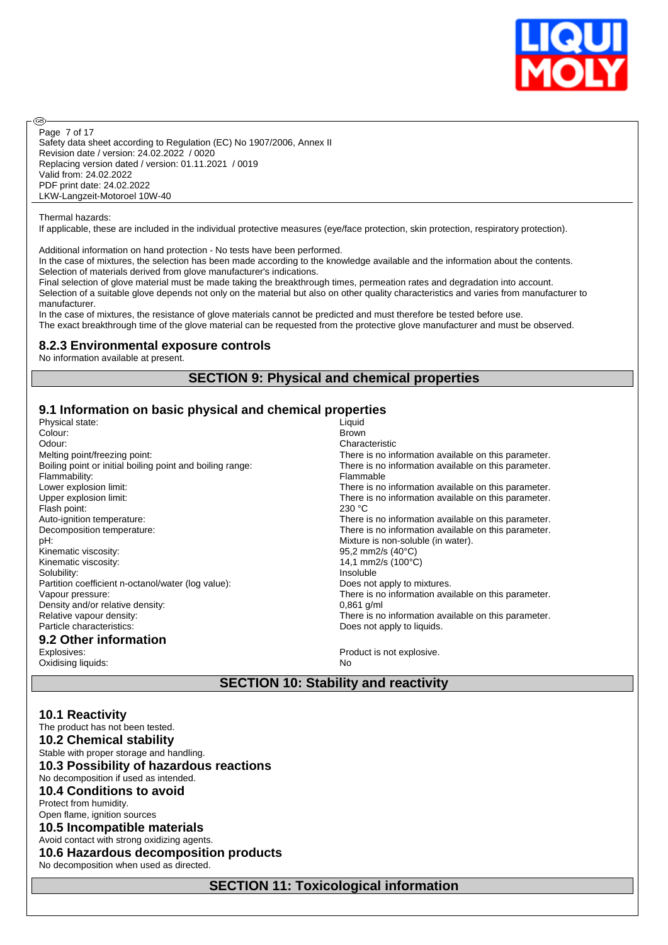

Safety data sheet according to Regulation (EC) No 1907/2006, Annex II Revision date / version: 24.02.2022 / 0020 Replacing version dated / version: 01.11.2021 / 0019 Valid from: 24.02.2022 PDF print date: 24.02.2022 LKW-Langzeit-Motoroel 10W-40 Page 7 of 17

Thermal hazards:

**®** 

If applicable, these are included in the individual protective measures (eye/face protection, skin protection, respiratory protection).

Additional information on hand protection - No tests have been performed.

In the case of mixtures, the selection has been made according to the knowledge available and the information about the contents. Selection of materials derived from glove manufacturer's indications.

Final selection of glove material must be made taking the breakthrough times, permeation rates and degradation into account. Selection of a suitable glove depends not only on the material but also on other quality characteristics and varies from manufacturer to manufacturer.

In the case of mixtures, the resistance of glove materials cannot be predicted and must therefore be tested before use. The exact breakthrough time of the glove material can be requested from the protective glove manufacturer and must be observed.

### **8.2.3 Environmental exposure controls**

No information available at present.

### **SECTION 9: Physical and chemical properties**

### **9.1 Information on basic physical and chemical properties**

| Physical state:                                           | Liquid                                               |
|-----------------------------------------------------------|------------------------------------------------------|
| Colour:                                                   | <b>Brown</b>                                         |
| Odour:                                                    | Characteristic                                       |
| Melting point/freezing point:                             | There is no information available on this parameter. |
| Boiling point or initial boiling point and boiling range: | There is no information available on this parameter. |
| Flammability:                                             | Flammable                                            |
| Lower explosion limit:                                    | There is no information available on this parameter. |
| Upper explosion limit:                                    | There is no information available on this parameter. |
| Flash point:                                              | 230 °C                                               |
| Auto-ignition temperature:                                | There is no information available on this parameter. |
| Decomposition temperature:                                | There is no information available on this parameter. |
| pH:                                                       | Mixture is non-soluble (in water).                   |
| Kinematic viscosity:                                      | 95,2 mm2/s (40°C)                                    |
| Kinematic viscosity:                                      | 14,1 mm2/s (100°C)                                   |
| Solubility:                                               | Insoluble                                            |
| Partition coefficient n-octanol/water (log value):        | Does not apply to mixtures.                          |
| Vapour pressure:                                          | There is no information available on this parameter. |
| Density and/or relative density:                          | $0.861$ g/ml                                         |
| Relative vapour density:                                  | There is no information available on this parameter. |
| Particle characteristics:                                 | Does not apply to liquids.                           |
| 9.2 Other information                                     |                                                      |
| Explosives:                                               | Product is not explosive.                            |
| Oxidising liquids:                                        | No                                                   |

### **SECTION 10: Stability and reactivity**

| <b>10.1 Reactivity</b><br>The product has not been tested. |
|------------------------------------------------------------|
| <b>10.2 Chemical stability</b>                             |
| Stable with proper storage and handling.                   |
| 10.3 Possibility of hazardous reactions                    |
| No decomposition if used as intended.                      |
| <b>10.4 Conditions to avoid</b>                            |
| Protect from humidity.                                     |
| Open flame, ignition sources                               |
| 10.5 Incompatible materials                                |
| Avoid contact with strong oxidizing agents.                |
| 10.6 Hazardous decomposition products                      |
| No decomposition when used as directed.                    |
| <b>SECTION 11: Toxicological information</b>               |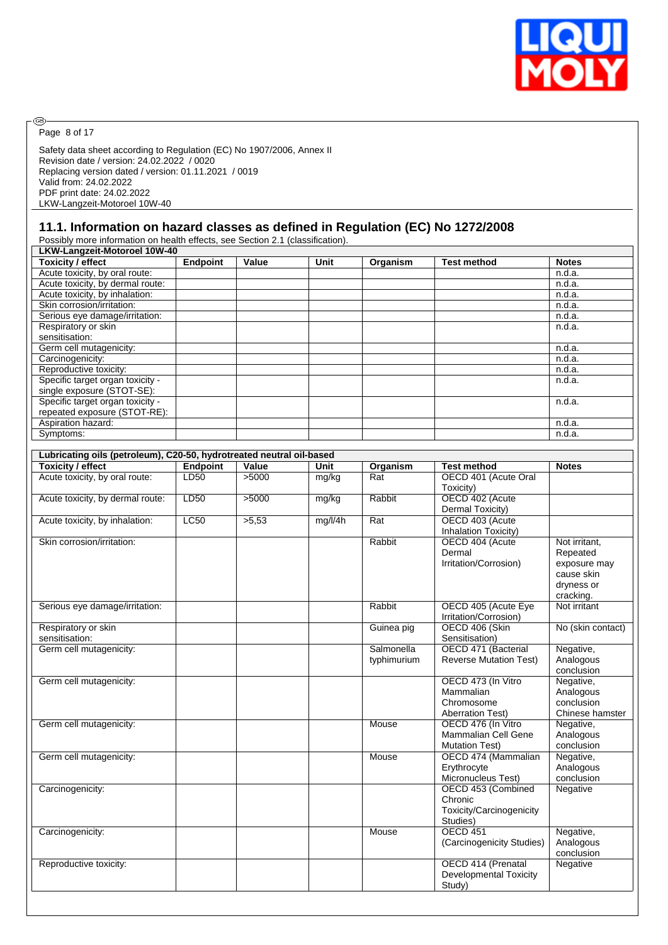

 $\circledcirc$ Page 8 of 17

Safety data sheet according to Regulation (EC) No 1907/2006, Annex II Revision date / version: 24.02.2022 / 0020 Replacing version dated / version: 01.11.2021 / 0019 Valid from: 24.02.2022 PDF print date: 24.02.2022 LKW-Langzeit-Motoroel 10W-40

### **11.1. Information on hazard classes as defined in Regulation (EC) No 1272/2008**

Possibly more information on health effects, see Section 2.1 (classification).

| LKW-Langzeit-Motoroel 10W-40     |                 |       |      |          |                    |              |
|----------------------------------|-----------------|-------|------|----------|--------------------|--------------|
| <b>Toxicity / effect</b>         | <b>Endpoint</b> | Value | Unit | Organism | <b>Test method</b> | <b>Notes</b> |
| Acute toxicity, by oral route:   |                 |       |      |          |                    | n.d.a.       |
| Acute toxicity, by dermal route: |                 |       |      |          |                    | n.d.a.       |
| Acute toxicity, by inhalation:   |                 |       |      |          |                    | n.d.a.       |
| Skin corrosion/irritation:       |                 |       |      |          |                    | n.d.a.       |
| Serious eye damage/irritation:   |                 |       |      |          |                    | n.d.a.       |
| Respiratory or skin              |                 |       |      |          |                    | n.d.a.       |
| sensitisation:                   |                 |       |      |          |                    |              |
| Germ cell mutagenicity:          |                 |       |      |          |                    | n.d.a.       |
| Carcinogenicity:                 |                 |       |      |          |                    | n.d.a.       |
| Reproductive toxicity:           |                 |       |      |          |                    | n.d.a.       |
| Specific target organ toxicity - |                 |       |      |          |                    | n.d.a.       |
| single exposure (STOT-SE):       |                 |       |      |          |                    |              |
| Specific target organ toxicity - |                 |       |      |          |                    | n.d.a.       |
| repeated exposure (STOT-RE):     |                 |       |      |          |                    |              |
| Aspiration hazard:               |                 |       |      |          |                    | n.d.a.       |
| Symptoms:                        |                 |       |      |          |                    | n.d.a.       |

| Lubricating oils (petroleum), C20-50, hydrotreated neutral oil-based |                 |       |         |                           |                                                                           |                                                                                    |
|----------------------------------------------------------------------|-----------------|-------|---------|---------------------------|---------------------------------------------------------------------------|------------------------------------------------------------------------------------|
| <b>Toxicity / effect</b>                                             | <b>Endpoint</b> | Value | Unit    | Organism                  | <b>Test method</b>                                                        | <b>Notes</b>                                                                       |
| Acute toxicity, by oral route:                                       | LD50            | >5000 | mg/kg   | Rat                       | OECD 401 (Acute Oral<br>Toxicity)                                         |                                                                                    |
| Acute toxicity, by dermal route:                                     | LD50            | >5000 | mg/kg   | Rabbit                    | OECD 402 (Acute<br>Dermal Toxicity)                                       |                                                                                    |
| Acute toxicity, by inhalation:                                       | <b>LC50</b>     | >5,53 | mg/l/4h | $\overline{Rat}$          | OECD 403 (Acute<br>Inhalation Toxicity)                                   |                                                                                    |
| Skin corrosion/irritation:                                           |                 |       |         | Rabbit                    | OECD 404 (Acute<br>Dermal<br>Irritation/Corrosion)                        | Not irritant,<br>Repeated<br>exposure may<br>cause skin<br>dryness or<br>cracking. |
| Serious eye damage/irritation:                                       |                 |       |         | Rabbit                    | OECD 405 (Acute Eye<br>Irritation/Corrosion)                              | Not irritant                                                                       |
| Respiratory or skin<br>sensitisation:                                |                 |       |         | Guinea pig                | OECD 406 (Skin<br>Sensitisation)                                          | No (skin contact)                                                                  |
| Germ cell mutagenicity:                                              |                 |       |         | Salmonella<br>typhimurium | OECD 471 (Bacterial<br><b>Reverse Mutation Test)</b>                      | Negative,<br>Analogous<br>conclusion                                               |
| Germ cell mutagenicity:                                              |                 |       |         |                           | OECD 473 (In Vitro<br>Mammalian<br>Chromosome<br><b>Aberration Test)</b>  | Negative,<br>Analogous<br>conclusion<br>Chinese hamster                            |
| Germ cell mutagenicity:                                              |                 |       |         | Mouse                     | OECD 476 (In Vitro<br><b>Mammalian Cell Gene</b><br><b>Mutation Test)</b> | Negative,<br>Analogous<br>conclusion                                               |
| Germ cell mutagenicity:                                              |                 |       |         | Mouse                     | OECD 474 (Mammalian<br>Erythrocyte<br>Micronucleus Test)                  | Negative,<br>Analogous<br>conclusion                                               |
| Carcinogenicity:                                                     |                 |       |         |                           | OECD 453 (Combined<br>Chronic<br>Toxicity/Carcinogenicity<br>Studies)     | Negative                                                                           |
| Carcinogenicity:                                                     |                 |       |         | Mouse                     | <b>OECD 451</b><br>(Carcinogenicity Studies)                              | Negative,<br>Analogous<br>conclusion                                               |
| Reproductive toxicity:                                               |                 |       |         |                           | OECD 414 (Prenatal<br><b>Developmental Toxicity</b><br>Study)             | Negative                                                                           |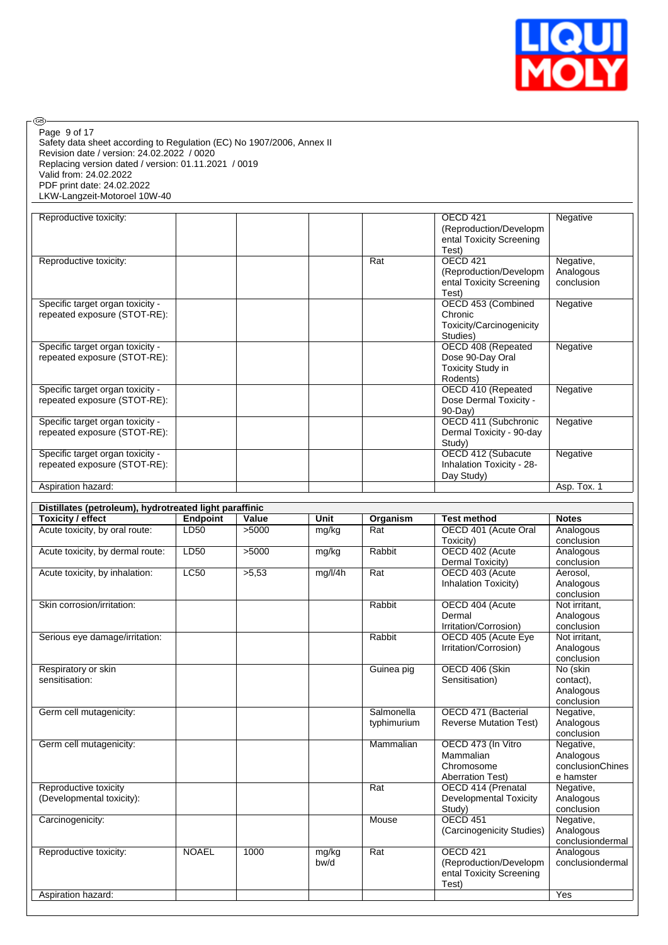

| ®                                                                                                                                                                                                                                                                                   |                  |       |         |            |                                                                                         |                                                  |
|-------------------------------------------------------------------------------------------------------------------------------------------------------------------------------------------------------------------------------------------------------------------------------------|------------------|-------|---------|------------|-----------------------------------------------------------------------------------------|--------------------------------------------------|
| Page 9 of 17<br>Safety data sheet according to Regulation (EC) No 1907/2006, Annex II<br>Revision date / version: 24.02.2022 / 0020<br>Replacing version dated / version: 01.11.2021 / 0019<br>Valid from: 24.02.2022<br>PDF print date: 24.02.2022<br>LKW-Langzeit-Motoroel 10W-40 |                  |       |         |            |                                                                                         |                                                  |
| Reproductive toxicity:                                                                                                                                                                                                                                                              |                  |       |         |            | OECD 421<br>(Reproduction/Developm<br>ental Toxicity Screening                          | Negative                                         |
| Reproductive toxicity:                                                                                                                                                                                                                                                              |                  |       |         | Rat        | Test)<br><b>OECD 421</b><br>(Reproduction/Developm<br>ental Toxicity Screening<br>Test) | Negative,<br>Analogous<br>conclusion             |
| Specific target organ toxicity -<br>repeated exposure (STOT-RE):                                                                                                                                                                                                                    |                  |       |         |            | OECD 453 (Combined<br>Chronic<br>Toxicity/Carcinogenicity<br>Studies)                   | Negative                                         |
| Specific target organ toxicity -<br>repeated exposure (STOT-RE):                                                                                                                                                                                                                    |                  |       |         |            | OECD 408 (Repeated<br>Dose 90-Day Oral<br>Toxicity Study in<br>Rodents)                 | Negative                                         |
| Specific target organ toxicity -<br>repeated exposure (STOT-RE):                                                                                                                                                                                                                    |                  |       |         |            | OECD 410 (Repeated<br>Dose Dermal Toxicity -<br>90-Day)                                 | Negative                                         |
| Specific target organ toxicity -<br>repeated exposure (STOT-RE):                                                                                                                                                                                                                    |                  |       |         |            | OECD 411 (Subchronic<br>Dermal Toxicity - 90-day<br>Study)                              | Negative                                         |
| Specific target organ toxicity -<br>repeated exposure (STOT-RE):                                                                                                                                                                                                                    |                  |       |         |            | OECD 412 (Subacute<br>Inhalation Toxicity - 28-<br>Day Study)                           | Negative                                         |
| Aspiration hazard:                                                                                                                                                                                                                                                                  |                  |       |         |            |                                                                                         | Asp. Tox. 1                                      |
| Distillates (petroleum), hydrotreated light paraffinic                                                                                                                                                                                                                              |                  |       |         |            |                                                                                         |                                                  |
| <b>Toxicity / effect</b>                                                                                                                                                                                                                                                            | <b>Endpoint</b>  | Value | Unit    | Organism   | <b>Test method</b>                                                                      | <b>Notes</b>                                     |
| Acute toxicity, by oral route:                                                                                                                                                                                                                                                      | LD50             | >5000 | mg/kg   | Rat        | OECD 401 (Acute Oral<br>Toxicity)                                                       | Analogous<br>conclusion                          |
| Acute toxicity, by dermal route:                                                                                                                                                                                                                                                    | LD <sub>50</sub> | >5000 | mg/kg   | Rabbit     | OECD 402 (Acute<br>Dermal Toxicity)                                                     | Analogous<br>conclusion                          |
| Acute toxicity, by inhalation:                                                                                                                                                                                                                                                      | LC50             | >5,53 | mg/l/4h | Rat        | OECD 403 (Acute<br>Inhalation Toxicity)                                                 | Aerosol,<br>Analogous<br>conclusion              |
| Skin corrosion/irritation:                                                                                                                                                                                                                                                          |                  |       |         | Rabbit     | OECD 404 (Acute<br>Dermal<br>Irritation/Corrosion)                                      | Not irritant,<br>Analogous<br>conclusion         |
| Serious eye damage/irritation:                                                                                                                                                                                                                                                      |                  |       |         | Rabbit     | OECD 405 (Acute Eye<br>Irritation/Corrosion)                                            | Not irritant,<br>Analogous<br>conclusion         |
| Respiratory or skin<br>sensitisation:                                                                                                                                                                                                                                               |                  |       |         | Guinea pig | OECD 406 (Skin<br>Sensitisation)                                                        | No (skin<br>contact),<br>Analogous<br>conclusion |
| Germ cell mutagenicity:                                                                                                                                                                                                                                                             |                  |       |         | Salmonella | OECD 471 (Bacterial                                                                     | Negative,                                        |

|                           |              |      |       |             |                               | .                |
|---------------------------|--------------|------|-------|-------------|-------------------------------|------------------|
|                           |              |      |       |             |                               | conclusion       |
| Germ cell mutagenicity:   |              |      |       | Salmonella  | OECD 471 (Bacterial           | Negative,        |
|                           |              |      |       | typhimurium | <b>Reverse Mutation Test)</b> | Analogous        |
|                           |              |      |       |             |                               | conclusion       |
| Germ cell mutagenicity:   |              |      |       | Mammalian   | OECD 473 (In Vitro            | Negative,        |
|                           |              |      |       |             | Mammalian                     | Analogous        |
|                           |              |      |       |             | Chromosome                    | conclusionChines |
|                           |              |      |       |             | <b>Aberration Test)</b>       | e hamster        |
| Reproductive toxicity     |              |      |       | Rat         | OECD 414 (Prenatal            | Negative,        |
| (Developmental toxicity): |              |      |       |             | <b>Developmental Toxicity</b> | Analogous        |
|                           |              |      |       |             | Study)                        | conclusion       |
| Carcinogenicity:          |              |      |       | Mouse       | <b>OECD 451</b>               | Negative,        |
|                           |              |      |       |             | (Carcinogenicity Studies)     | Analogous        |
|                           |              |      |       |             |                               | conclusiondermal |
| Reproductive toxicity:    | <b>NOAEL</b> | 1000 | mg/kg | Rat         | OECD 421                      | Analogous        |
|                           |              |      | bw/d  |             | (Reproduction/Developm        | conclusiondermal |
|                           |              |      |       |             | ental Toxicity Screening      |                  |
|                           |              |      |       |             | Test)                         |                  |
| Aspiration hazard:        |              |      |       |             |                               | Yes              |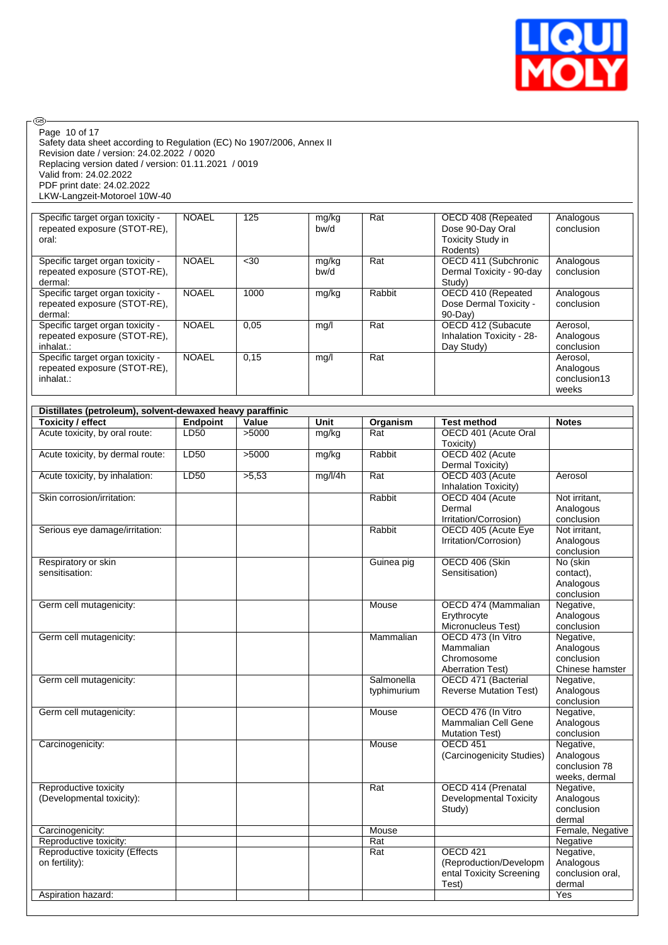

| @ි                                                                    |                 |       |         |             |                                           |                        |
|-----------------------------------------------------------------------|-----------------|-------|---------|-------------|-------------------------------------------|------------------------|
| Page 10 of 17                                                         |                 |       |         |             |                                           |                        |
| Safety data sheet according to Regulation (EC) No 1907/2006, Annex II |                 |       |         |             |                                           |                        |
| Revision date / version: 24.02.2022 / 0020                            |                 |       |         |             |                                           |                        |
| Replacing version dated / version: 01.11.2021 / 0019                  |                 |       |         |             |                                           |                        |
| Valid from: 24.02.2022                                                |                 |       |         |             |                                           |                        |
| PDF print date: 24.02.2022                                            |                 |       |         |             |                                           |                        |
| LKW-Langzeit-Motoroel 10W-40                                          |                 |       |         |             |                                           |                        |
|                                                                       |                 |       |         |             |                                           |                        |
| Specific target organ toxicity -                                      | <b>NOAEL</b>    | 125   | mg/kg   | Rat         | OECD 408 (Repeated                        | Analogous              |
| repeated exposure (STOT-RE),                                          |                 |       | bw/d    |             | Dose 90-Day Oral                          | conclusion             |
| oral:                                                                 |                 |       |         |             | Toxicity Study in                         |                        |
|                                                                       |                 |       |         |             | Rodents)                                  |                        |
| Specific target organ toxicity -                                      | <b>NOAEL</b>    | <30   | mg/kg   | Rat         | OECD 411 (Subchronic                      | Analogous              |
| repeated exposure (STOT-RE),                                          |                 |       | bw/d    |             | Dermal Toxicity - 90-day                  | conclusion             |
| dermal:                                                               |                 |       |         |             | Study)                                    |                        |
| Specific target organ toxicity -                                      | <b>NOAEL</b>    | 1000  | mg/kg   | Rabbit      | OECD 410 (Repeated                        | Analogous              |
| repeated exposure (STOT-RE),                                          |                 |       |         |             | Dose Dermal Toxicity -                    | conclusion             |
| dermal:                                                               |                 |       |         |             | 90-Day)                                   |                        |
| Specific target organ toxicity -                                      | <b>NOAEL</b>    | 0,05  | mg/l    | Rat         | OECD 412 (Subacute                        | Aerosol,               |
| repeated exposure (STOT-RE),                                          |                 |       |         |             | Inhalation Toxicity - 28-                 | Analogous              |
| inhalat.:                                                             |                 |       |         |             | Day Study)                                | conclusion             |
| Specific target organ toxicity -                                      | <b>NOAEL</b>    | 0,15  | mg/l    | Rat         |                                           | Aerosol.               |
| repeated exposure (STOT-RE),                                          |                 |       |         |             |                                           | Analogous              |
| inhalat.:                                                             |                 |       |         |             |                                           | conclusion13           |
|                                                                       |                 |       |         |             |                                           | weeks                  |
|                                                                       |                 |       |         |             |                                           |                        |
| Distillates (petroleum), solvent-dewaxed heavy paraffinic             |                 |       |         |             |                                           |                        |
| <b>Toxicity / effect</b>                                              | <b>Endpoint</b> | Value | Unit    | Organism    | <b>Test method</b>                        | <b>Notes</b>           |
| Acute toxicity, by oral route:                                        | LD50            | >5000 | mg/kg   | Rat         | OECD 401 (Acute Oral                      |                        |
|                                                                       |                 |       |         |             | Toxicity)                                 |                        |
| Acute toxicity, by dermal route:                                      | LD50            | >5000 | mg/kg   | Rabbit      | OECD 402 (Acute                           |                        |
|                                                                       |                 |       |         |             | Dermal Toxicity)                          |                        |
| Acute toxicity, by inhalation:                                        | LD50            | >5,53 | mg/l/4h | Rat         | OECD 403 (Acute                           | Aerosol                |
|                                                                       |                 |       |         |             | Inhalation Toxicity)                      |                        |
| Skin corrosion/irritation:                                            |                 |       |         | Rabbit      | OECD 404 (Acute                           | Not irritant,          |
|                                                                       |                 |       |         |             | Dermal                                    | Analogous              |
|                                                                       |                 |       |         |             | Irritation/Corrosion)                     | conclusion             |
| Serious eye damage/irritation:                                        |                 |       |         | Rabbit      | OECD 405 (Acute Eye                       | Not irritant,          |
|                                                                       |                 |       |         |             | Irritation/Corrosion)                     | Analogous              |
|                                                                       |                 |       |         |             |                                           | conclusion             |
| Respiratory or skin                                                   |                 |       |         | Guinea pig  | OECD 406 (Skin                            | No (skin               |
| sensitisation:                                                        |                 |       |         |             | Sensitisation)                            | contact),              |
|                                                                       |                 |       |         |             |                                           | Analogous              |
|                                                                       |                 |       |         |             |                                           | conclusion             |
| Germ cell mutagenicity:                                               |                 |       |         | Mouse       | OECD 474 (Mammalian                       | Negative,              |
|                                                                       |                 |       |         |             | Erythrocyte                               | Analogous              |
|                                                                       |                 |       |         |             | Micronucleus Test)                        | conclusion             |
| Germ cell mutagenicity:                                               |                 |       |         | Mammalian   | OECD 473 (In Vitro                        | Negative,              |
|                                                                       |                 |       |         |             | Mammalian                                 | Analogous              |
|                                                                       |                 |       |         |             | Chromosome                                | conclusion             |
|                                                                       |                 |       |         |             | <b>Aberration Test)</b>                   | Chinese hamster        |
| Germ cell mutagenicity:                                               |                 |       |         | Salmonella  | OECD 471 (Bacterial                       | Negative,              |
|                                                                       |                 |       |         | typhimurium | <b>Reverse Mutation Test)</b>             | Analogous              |
|                                                                       |                 |       |         |             |                                           | conclusion             |
| Germ cell mutagenicity:                                               |                 |       |         | Mouse       | OECD 476 (In Vitro<br>Mammalian Cell Gene | Negative,<br>Analogous |
|                                                                       |                 |       |         |             |                                           |                        |
| Carcinogenicity:                                                      |                 |       |         | Mouse       | <b>Mutation Test)</b><br><b>OECD 451</b>  | conclusion             |
|                                                                       |                 |       |         |             |                                           | Negative,<br>Analogous |
|                                                                       |                 |       |         |             | (Carcinogenicity Studies)                 | conclusion 78          |
|                                                                       |                 |       |         |             |                                           | weeks, dermal          |
| Reproductive toxicity                                                 |                 |       |         | Rat         | OECD 414 (Prenatal                        | Negative,              |
| (Developmental toxicity):                                             |                 |       |         |             | Developmental Toxicity                    | Analogous              |
|                                                                       |                 |       |         |             | Study)                                    | conclusion             |
|                                                                       |                 |       |         |             |                                           | dermal                 |
| Carcinogenicity:                                                      |                 |       |         | Mouse       |                                           | Female, Negative       |
| Reproductive toxicity:                                                |                 |       |         | Rat         |                                           | Negative               |
| Reproductive toxicity (Effects                                        |                 |       |         | Rat         | OECD 421                                  | Negative,              |
| on fertility):                                                        |                 |       |         |             | (Reproduction/Developm                    | Analogous              |
|                                                                       |                 |       |         |             | ental Toxicity Screening                  | conclusion oral,       |
|                                                                       |                 |       |         |             |                                           |                        |
|                                                                       |                 |       |         |             |                                           |                        |
| Aspiration hazard:                                                    |                 |       |         |             | Test)                                     | dermal<br>Yes          |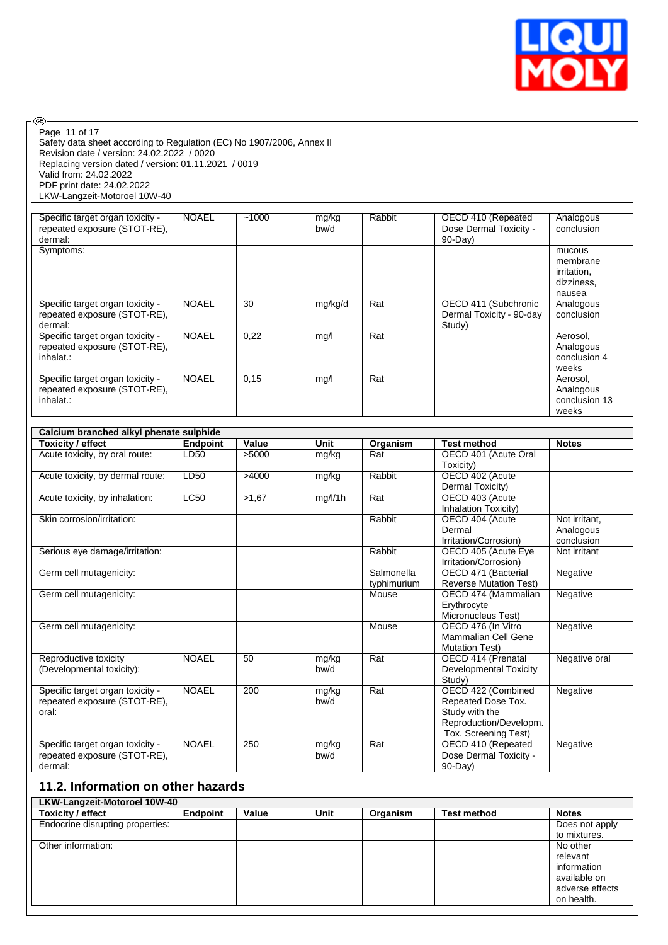

| Page 11 of 17<br>Safety data sheet according to Regulation (EC) No 1907/2006, Annex II<br>Revision date / version: 24.02.2022 / 0020 |                         |                |               |                      |                                                                                                                        |                                                           |
|--------------------------------------------------------------------------------------------------------------------------------------|-------------------------|----------------|---------------|----------------------|------------------------------------------------------------------------------------------------------------------------|-----------------------------------------------------------|
| Replacing version dated / version: 01.11.2021 / 0019<br>Valid from: 24.02.2022                                                       |                         |                |               |                      |                                                                                                                        |                                                           |
| PDF print date: 24.02.2022<br>LKW-Langzeit-Motoroel 10W-40                                                                           |                         |                |               |                      |                                                                                                                        |                                                           |
| Specific target organ toxicity -<br>repeated exposure (STOT-RE),<br>dermal:                                                          | <b>NOAEL</b>            | $-1000$        | mg/kg<br>bw/d | Rabbit               | OECD 410 (Repeated<br>Dose Dermal Toxicity -<br>$90-Day$                                                               | Analogous<br>conclusion                                   |
| Symptoms:                                                                                                                            |                         |                |               |                      |                                                                                                                        | mucous<br>membrane<br>irritation,<br>dizziness,<br>nausea |
| Specific target organ toxicity -<br>repeated exposure (STOT-RE),<br>dermal:                                                          | <b>NOAEL</b>            | 30             | mg/kg/d       | Rat                  | OECD 411 (Subchronic<br>Dermal Toxicity - 90-day<br>Study)                                                             | Analogous<br>conclusion                                   |
| Specific target organ toxicity -<br>repeated exposure (STOT-RE),<br>inhalat.:                                                        | <b>NOAEL</b>            | 0,22           | mg/l          | Rat                  |                                                                                                                        | Aerosol,<br>Analogous<br>conclusion 4<br>weeks            |
| Specific target organ toxicity -<br>repeated exposure (STOT-RE),<br>inhalat.:                                                        | <b>NOAEL</b>            | 0,15           | mg/l          | Rat                  |                                                                                                                        | Aerosol,<br>Analogous<br>conclusion 13<br>weeks           |
| Calcium branched alkyl phenate sulphide                                                                                              |                         |                |               |                      |                                                                                                                        |                                                           |
| <b>Toxicity / effect</b><br>Acute toxicity, by oral route:                                                                           | <b>Endpoint</b><br>LD50 | Value<br>>5000 | Unit          | Organism<br>Rat      | <b>Test method</b><br>OECD 401 (Acute Oral                                                                             | <b>Notes</b>                                              |
|                                                                                                                                      |                         |                | mg/kg         |                      | Toxicity)                                                                                                              |                                                           |
| Acute toxicity, by dermal route:                                                                                                     | LD50                    | >4000          | mg/kg         | Rabbit               | OECD 402 (Acute                                                                                                        |                                                           |
|                                                                                                                                      |                         |                |               |                      | Dermal Toxicity)                                                                                                       |                                                           |
| Acute toxicity, by inhalation:                                                                                                       | <b>LC50</b>             | >1,67          | mg/l/1h       | Rat                  | OECD 403 (Acute                                                                                                        |                                                           |
| Skin corrosion/irritation:                                                                                                           |                         |                |               | Rabbit               | Inhalation Toxicity)<br>OECD 404 (Acute<br>Dermal                                                                      | Not irritant,<br>Analogous<br>conclusion                  |
| Serious eye damage/irritation:                                                                                                       |                         |                |               | Rabbit               | Irritation/Corrosion)<br>OECD 405 (Acute Eye                                                                           | Not irritant                                              |
| Germ cell mutagenicity:                                                                                                              |                         |                |               | Salmonella           | Irritation/Corrosion)<br>OECD 471 (Bacterial                                                                           | Negative                                                  |
| Germ cell mutagenicity:                                                                                                              |                         |                |               | typhimurium<br>Mouse | <b>Reverse Mutation Test)</b><br>OECD 474 (Mammalian<br>Erythrocyte                                                    | Negative                                                  |
| Germ cell mutagenicity:                                                                                                              |                         |                |               | Mouse                | Micronucleus Test)<br>OECD 476 (In Vitro<br>Mammalian Cell Gene<br><b>Mutation Test)</b>                               | Negative                                                  |
| Reproductive toxicity<br>(Developmental toxicity):                                                                                   | <b>NOAEL</b>            | 50             | mg/kg<br>bw/d | Rat                  | OECD 414 (Prenatal<br><b>Developmental Toxicity</b>                                                                    | Negative oral                                             |
| Specific target organ toxicity -<br>repeated exposure (STOT-RE),<br>oral:                                                            | <b>NOAEL</b>            | 200            | mg/kg<br>bw/d | Rat                  | Study)<br>OECD 422 (Combined<br>Repeated Dose Tox.<br>Study with the<br>Reproduction/Developm.<br>Tox. Screening Test) | Negative                                                  |
| Specific target organ toxicity -<br>repeated exposure (STOT-RE),<br>dermal:                                                          | <b>NOAEL</b>            | 250            | mg/kg<br>bw/d | Rat                  | OECD 410 (Repeated<br>Dose Dermal Toxicity -<br>$90-Day$                                                               | Negative                                                  |
| 11.2. Information on other hazards                                                                                                   |                         |                |               |                      |                                                                                                                        |                                                           |

- ®

| LKW-Langzeit-Motoroei 10W-40     |          |       |      |          |                    |                 |
|----------------------------------|----------|-------|------|----------|--------------------|-----------------|
| <b>Toxicity / effect</b>         | Endpoint | Value | Unit | Organism | <b>Test method</b> | <b>Notes</b>    |
| Endocrine disrupting properties: |          |       |      |          |                    | Does not apply  |
|                                  |          |       |      |          |                    | to mixtures.    |
| Other information:               |          |       |      |          |                    | No other        |
|                                  |          |       |      |          |                    | relevant        |
|                                  |          |       |      |          |                    | information     |
|                                  |          |       |      |          |                    | available on    |
|                                  |          |       |      |          |                    | adverse effects |
|                                  |          |       |      |          |                    | on health.      |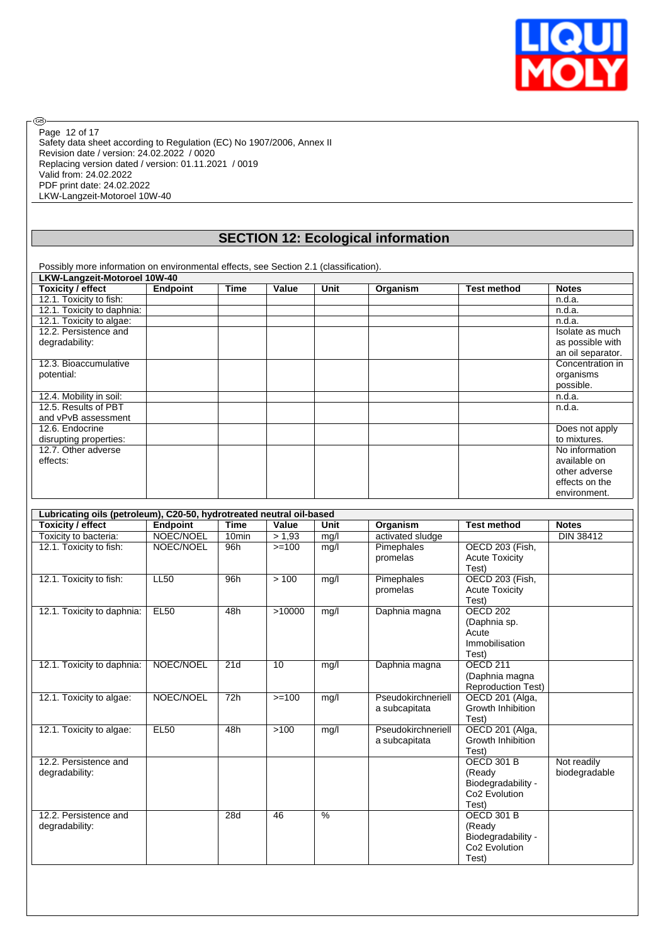

Safety data sheet according to Regulation (EC) No 1907/2006, Annex II Revision date / version: 24.02.2022 / 0020 Replacing version dated / version: 01.11.2021 / 0019 Valid from: 24.02.2022 PDF print date: 24.02.2022 LKW-Langzeit-Motoroel 10W-40 Page 12 of 17

 $\circledcirc$ 

### **SECTION 12: Ecological information**

Possibly more information on environmental effects, see Section 2.1 (classification).

| LKW-Langzeit-Motoroel 10W-40 |          |             |       |      |          |                    |                   |
|------------------------------|----------|-------------|-------|------|----------|--------------------|-------------------|
| <b>Toxicity / effect</b>     | Endpoint | <b>Time</b> | Value | Unit | Organism | <b>Test method</b> | <b>Notes</b>      |
| 12.1. Toxicity to fish:      |          |             |       |      |          |                    | n.d.a.            |
| 12.1. Toxicity to daphnia:   |          |             |       |      |          |                    | n.d.a.            |
| 12.1. Toxicity to algae:     |          |             |       |      |          |                    | n.d.a.            |
| 12.2. Persistence and        |          |             |       |      |          |                    | Isolate as much   |
| degradability:               |          |             |       |      |          |                    | as possible with  |
|                              |          |             |       |      |          |                    | an oil separator. |
| 12.3. Bioaccumulative        |          |             |       |      |          |                    | Concentration in  |
| potential:                   |          |             |       |      |          |                    | organisms         |
|                              |          |             |       |      |          |                    | possible.         |
| 12.4. Mobility in soil:      |          |             |       |      |          |                    | n.d.a.            |
| 12.5. Results of PBT         |          |             |       |      |          |                    | n.d.a.            |
| and vPvB assessment          |          |             |       |      |          |                    |                   |
| 12.6. Endocrine              |          |             |       |      |          |                    | Does not apply    |
| disrupting properties:       |          |             |       |      |          |                    | to mixtures.      |
| 12.7. Other adverse          |          |             |       |      |          |                    | No information    |
| effects:                     |          |             |       |      |          |                    | available on      |
|                              |          |             |       |      |          |                    | other adverse     |
|                              |          |             |       |      |          |                    | effects on the    |
|                              |          |             |       |      |          |                    | environment.      |

| Toxicity / effect          | Endpoint    | <b>Time</b>       | Value   | Unit          | Organism           | <b>Test method</b>        | <b>Notes</b>  |
|----------------------------|-------------|-------------------|---------|---------------|--------------------|---------------------------|---------------|
| Toxicity to bacteria:      | NOEC/NOEL   | 10 <sub>min</sub> | > 1,93  | mg/l          | activated sludge   |                           | DIN 38412     |
| 12.1. Toxicity to fish:    | NOEC/NOEL   | 96h               | $>=100$ | mg/l          | Pimephales         | OECD 203 (Fish,           |               |
|                            |             |                   |         |               | promelas           | <b>Acute Toxicity</b>     |               |
|                            |             |                   |         |               |                    | Test)                     |               |
| 12.1. Toxicity to fish:    | <b>LL50</b> | 96h               | >100    | mg/l          | Pimephales         | OECD 203 (Fish,           |               |
|                            |             |                   |         |               | promelas           | <b>Acute Toxicity</b>     |               |
|                            |             |                   |         |               |                    | Test)                     |               |
| 12.1. Toxicity to daphnia: | <b>EL50</b> | 48h               | >10000  | mg/l          | Daphnia magna      | <b>OECD 202</b>           |               |
|                            |             |                   |         |               |                    | (Daphnia sp.              |               |
|                            |             |                   |         |               |                    | Acute                     |               |
|                            |             |                   |         |               |                    | Immobilisation            |               |
|                            |             |                   |         |               |                    | Test)                     |               |
| 12.1. Toxicity to daphnia: | NOEC/NOEL   | 21d               | 10      | mg/l          | Daphnia magna      | <b>OECD 211</b>           |               |
|                            |             |                   |         |               |                    | (Daphnia magna            |               |
|                            |             |                   |         |               |                    | <b>Reproduction Test)</b> |               |
| 12.1. Toxicity to algae:   | NOEC/NOEL   | 72h               | $>=100$ | mg/l          | Pseudokirchneriell | OECD 201 (Alga,           |               |
|                            |             |                   |         |               | a subcapitata      | Growth Inhibition         |               |
|                            |             |                   |         |               |                    | Test)                     |               |
| 12.1. Toxicity to algae:   | <b>EL50</b> | 48h               | >100    | mg/l          | Pseudokirchneriell | OECD 201 (Alga,           |               |
|                            |             |                   |         |               | a subcapitata      | Growth Inhibition         |               |
|                            |             |                   |         |               |                    | Test)                     |               |
| 12.2. Persistence and      |             |                   |         |               |                    | <b>OECD 301 B</b>         | Not readily   |
| degradability:             |             |                   |         |               |                    | (Ready                    | biodegradable |
|                            |             |                   |         |               |                    | Biodegradability -        |               |
|                            |             |                   |         |               |                    | Co <sub>2</sub> Evolution |               |
|                            |             |                   |         |               |                    | Test)                     |               |
| 12.2. Persistence and      |             | 28d               | 46      | $\frac{9}{6}$ |                    | <b>OECD 301 B</b>         |               |
| degradability:             |             |                   |         |               |                    | (Ready                    |               |
|                            |             |                   |         |               |                    | Biodegradability -        |               |
|                            |             |                   |         |               |                    | Co <sub>2</sub> Evolution |               |
|                            |             |                   |         |               |                    | Test)                     |               |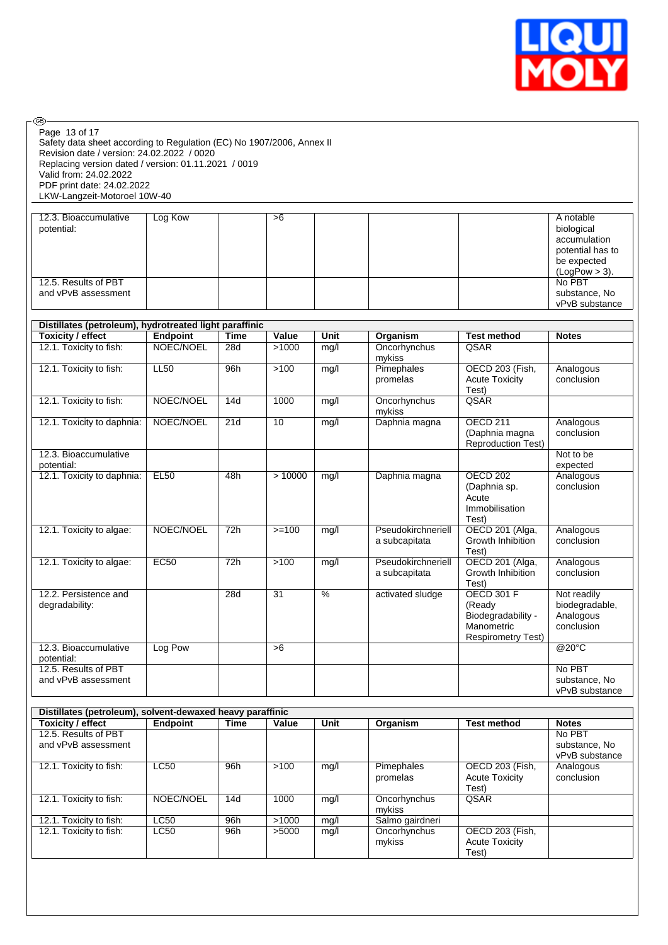

| Page 13 of 17<br>Safety data sheet according to Regulation (EC) No 1907/2006, Annex II<br>Revision date / version: 24.02.2022 / 0020<br>Replacing version dated / version: 01.11.2021 / 0019<br>Valid from: 24.02.2022<br>PDF print date: 24.02.2022<br>LKW-Langzeit-Motoroel 10W-40 |                 |             |                 |               |                                           |                                                                                              |                                                                                                |
|--------------------------------------------------------------------------------------------------------------------------------------------------------------------------------------------------------------------------------------------------------------------------------------|-----------------|-------------|-----------------|---------------|-------------------------------------------|----------------------------------------------------------------------------------------------|------------------------------------------------------------------------------------------------|
| 12.3. Bioaccumulative<br>potential:                                                                                                                                                                                                                                                  | Log Kow         |             | >6              |               |                                           |                                                                                              | A notable<br>biological<br>accumulation<br>potential has to<br>be expected<br>$(LogPow > 3)$ . |
| 12.5. Results of PBT<br>and vPvB assessment                                                                                                                                                                                                                                          |                 |             |                 |               |                                           |                                                                                              | No PBT<br>substance, No<br>vPvB substance                                                      |
| Distillates (petroleum), hydrotreated light paraffinic                                                                                                                                                                                                                               |                 |             |                 |               |                                           |                                                                                              |                                                                                                |
| <b>Toxicity / effect</b>                                                                                                                                                                                                                                                             | Endpoint        | <b>Time</b> | Value           | Unit          | Organism                                  | <b>Test method</b>                                                                           | <b>Notes</b>                                                                                   |
| 12.1. Toxicity to fish:                                                                                                                                                                                                                                                              | NOEC/NOEL       | 28d         | >1000           | mg/l          | Oncorhynchus<br>mykiss                    | QSAR                                                                                         |                                                                                                |
| 12.1. Toxicity to fish:                                                                                                                                                                                                                                                              | <b>LL50</b>     | 96h         | $>100$          | mg/l          | Pimephales<br>promelas                    | OECD 203 (Fish,<br><b>Acute Toxicity</b><br>Test)                                            | Analogous<br>conclusion                                                                        |
| 12.1. Toxicity to fish:                                                                                                                                                                                                                                                              | NOEC/NOEL       | 14d         | 1000            | mg/l          | Oncorhynchus<br>mykiss                    | QSAR                                                                                         |                                                                                                |
| 12.1. Toxicity to daphnia:                                                                                                                                                                                                                                                           | NOEC/NOEL       | 21d         | 10              | mg/l          | Daphnia magna                             | <b>OECD 211</b><br>(Daphnia magna<br><b>Reproduction Test)</b>                               | Analogous<br>conclusion                                                                        |
| 12.3. Bioaccumulative<br>potential:                                                                                                                                                                                                                                                  |                 |             |                 |               |                                           |                                                                                              | Not to be<br>expected                                                                          |
| 12.1. Toxicity to daphnia:                                                                                                                                                                                                                                                           | <b>EL50</b>     | 48h         | >10000          | mg/l          | Daphnia magna                             | <b>OECD 202</b><br>(Daphnia sp.<br>Acute<br>Immobilisation<br>Test)                          | Analogous<br>conclusion                                                                        |
| 12.1. Toxicity to algae:                                                                                                                                                                                                                                                             | NOEC/NOEL       | 72h         | $>=100$         | mg/l          | Pseudokirchneriell<br>a subcapitata       | OECD 201 (Alga,<br>Growth Inhibition<br>Test)                                                | Analogous<br>conclusion                                                                        |
| 12.1. Toxicity to algae:                                                                                                                                                                                                                                                             | <b>EC50</b>     | 72h         | >100            | mg/l          | Pseudokirchneriell<br>a subcapitata       | OECD 201 (Alga,<br>Growth Inhibition<br>Test)                                                | Analogous<br>conclusion                                                                        |
| 12.2. Persistence and<br>degradability:                                                                                                                                                                                                                                              |                 | 28d         | $\overline{31}$ | $\frac{0}{6}$ | activated sludge                          | <b>OECD 301 F</b><br>(Ready<br>Biodegradability -<br>Manometric<br><b>Respirometry Test)</b> | Not readily<br>biodegradable,<br>Analogous<br>conclusion                                       |
| 12.3. Bioaccumulative<br>potential:                                                                                                                                                                                                                                                  | Log Pow         |             | >6              |               |                                           |                                                                                              | @20°C                                                                                          |
| 12.5. Results of PBT<br>and vPvB assessment                                                                                                                                                                                                                                          |                 |             |                 |               |                                           |                                                                                              | No PBT<br>substance, No<br>vPvB substance                                                      |
| Distillates (petroleum), solvent-dewaxed heavy paraffinic                                                                                                                                                                                                                            |                 |             |                 |               |                                           |                                                                                              |                                                                                                |
| <b>Toxicity / effect</b>                                                                                                                                                                                                                                                             | <b>Endpoint</b> | <b>Time</b> | Value           | Unit          | Organism                                  | <b>Test method</b>                                                                           | <b>Notes</b>                                                                                   |
| 12.5. Results of PBT<br>and vPvB assessment                                                                                                                                                                                                                                          |                 |             |                 |               |                                           |                                                                                              | No PBT<br>substance, No<br>vPvB substance                                                      |
| 12.1. Toxicity to fish:                                                                                                                                                                                                                                                              | <b>LC50</b>     | 96h         | >100            | mg/l          | Pimephales<br>promelas                    | <b>OECD 203 (Fish,</b><br><b>Acute Toxicity</b><br>Test)                                     | Analogous<br>conclusion                                                                        |
| 12.1. Toxicity to fish:                                                                                                                                                                                                                                                              | NOEC/NOEL       | 14d         | 1000            | mg/l          | Oncorhynchus<br>mykiss                    | QSAR                                                                                         |                                                                                                |
| 12.1. Toxicity to fish:<br>12.1. Toxicity to fish:                                                                                                                                                                                                                                   | LC50<br>LC50    | 96h<br>96h  | >1000<br>>5000  | mg/l<br>mg/l  | Salmo gairdneri<br>Oncorhynchus<br>mykiss | OECD 203 (Fish,<br><b>Acute Toxicity</b>                                                     |                                                                                                |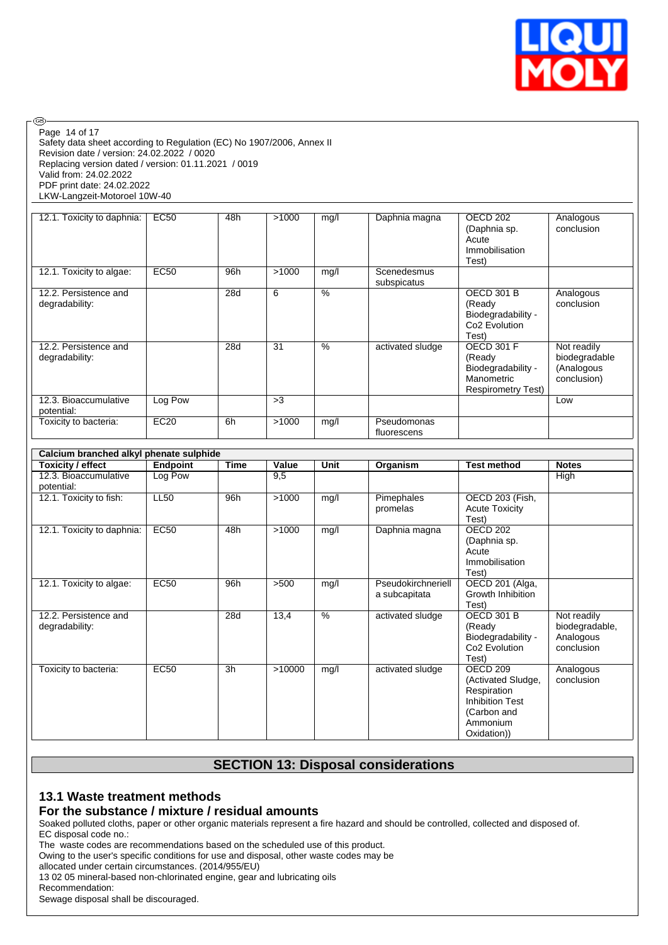

Safety data sheet according to Regulation (EC) No 1907/2006, Annex II Revision date / version: 24.02.2022 / 0020 Replacing version dated / version: 01.11.2021 / 0019 Valid from: 24.02.2022 PDF print date: 24.02.2022 LKW-Langzeit-Motoroel 10W-40 Page 14 of 17

**®** 

| 12.1. Toxicity to daphnia:              | EC50        | 48h | >1000 | mg/l | Daphnia magna              | OECD 202<br>(Daphnia sp.<br>Acute<br>Immobilisation<br>Test)                                 | Analogous<br>conclusion                                   |
|-----------------------------------------|-------------|-----|-------|------|----------------------------|----------------------------------------------------------------------------------------------|-----------------------------------------------------------|
| 12.1. Toxicity to algae:                | <b>EC50</b> | 96h | >1000 | mg/l | Scenedesmus<br>subspicatus |                                                                                              |                                                           |
| 12.2. Persistence and<br>degradability: |             | 28d | 6     | %    |                            | <b>OECD 301 B</b><br>(Ready<br>Biodegradability -<br>Co <sub>2</sub> Evolution<br>Test)      | Analogous<br>conclusion                                   |
| 12.2. Persistence and<br>degradability: |             | 28d | 31    | $\%$ | activated sludge           | <b>OECD 301 F</b><br>(Ready<br>Biodegradability -<br>Manometric<br><b>Respirometry Test)</b> | Not readily<br>biodegradable<br>(Analogous<br>conclusion) |
| 12.3. Bioaccumulative<br>potential:     | Log Pow     |     | >3    |      |                            |                                                                                              | Low                                                       |
| Toxicity to bacteria:                   | EC20        | 6h  | >1000 | mg/l | Pseudomonas<br>fluorescens |                                                                                              |                                                           |

| Calcium branched alkyl phenate sulphide |                 |      |        |      |                                     |                                                                                                                              |                                                          |
|-----------------------------------------|-----------------|------|--------|------|-------------------------------------|------------------------------------------------------------------------------------------------------------------------------|----------------------------------------------------------|
| Toxicity / effect                       | <b>Endpoint</b> | Time | Value  | Unit | Organism                            | <b>Test method</b>                                                                                                           | <b>Notes</b>                                             |
| 12.3. Bioaccumulative<br>potential:     | Log Pow         |      | 9,5    |      |                                     |                                                                                                                              | High                                                     |
| 12.1. Toxicity to fish:                 | <b>LL50</b>     | 96h  | >1000  | mg/l | Pimephales<br>promelas              | OECD 203 (Fish,<br><b>Acute Toxicity</b><br>Test)                                                                            |                                                          |
| 12.1. Toxicity to daphnia:              | <b>EC50</b>     | 48h  | >1000  | mg/l | Daphnia magna                       | <b>OECD 202</b><br>(Daphnia sp.<br>Acute<br>Immobilisation<br>Test)                                                          |                                                          |
| 12.1. Toxicity to algae:                | <b>EC50</b>     | 96h  | >500   | mg/l | Pseudokirchneriell<br>a subcapitata | OECD 201 (Alga,<br>Growth Inhibition<br>Test)                                                                                |                                                          |
| 12.2. Persistence and<br>degradability: |                 | 28d  | 13,4   | $\%$ | activated sludge                    | <b>OECD 301 B</b><br>(Ready<br>Biodegradability -<br>Co2 Evolution<br>Test)                                                  | Not readily<br>biodegradable,<br>Analogous<br>conclusion |
| Toxicity to bacteria:                   | <b>EC50</b>     | 3h   | >10000 | mg/l | activated sludge                    | OECD <sub>209</sub><br>(Activated Sludge,<br>Respiration<br><b>Inhibition Test</b><br>(Carbon and<br>Ammonium<br>Oxidation)) | Analogous<br>conclusion                                  |

# **SECTION 13: Disposal considerations**

### **13.1 Waste treatment methods**

### **For the substance / mixture / residual amounts**

Soaked polluted cloths, paper or other organic materials represent a fire hazard and should be controlled, collected and disposed of. EC disposal code no.:

The waste codes are recommendations based on the scheduled use of this product.

Owing to the user's specific conditions for use and disposal, other waste codes may be

allocated under certain circumstances. (2014/955/EU)

13 02 05 mineral-based non-chlorinated engine, gear and lubricating oils

Recommendation:

Sewage disposal shall be discouraged.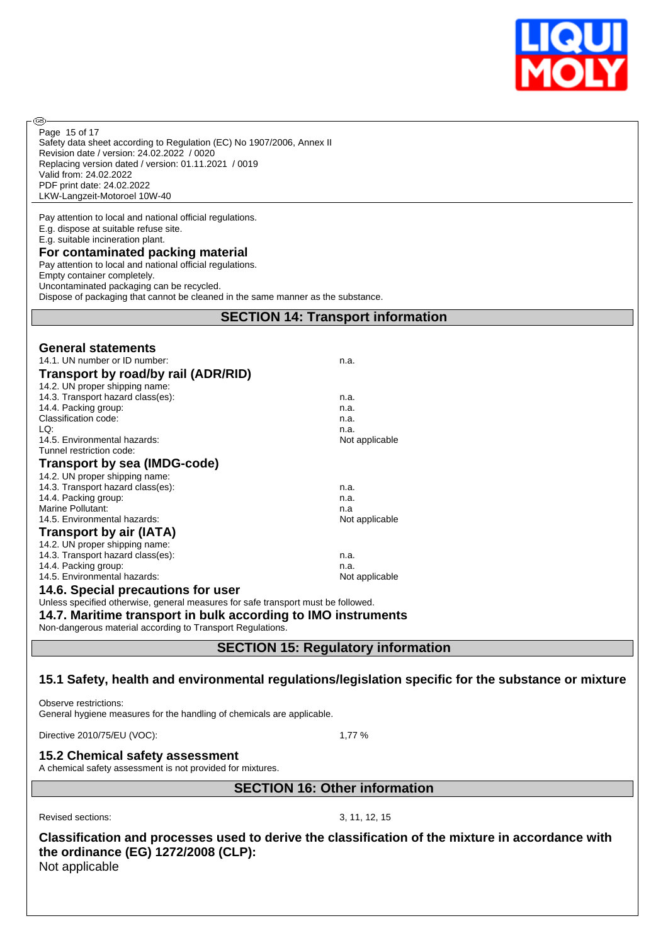

Safety data sheet according to Regulation (EC) No 1907/2006, Annex II Revision date / version: 24.02.2022 / 0020 Replacing version dated / version: 01.11.2021 / 0019 Valid from: 24.02.2022 PDF print date: 24.02.2022 LKW-Langzeit-Motoroel 10W-40 Page 15 of 17

Pay attention to local and national official regulations. E.g. dispose at suitable refuse site. E.g. suitable incineration plant.

### **For contaminated packing material**

Pay attention to local and national official regulations.

Empty container completely. Uncontaminated packaging can be recycled.

**®** 

Dispose of packaging that cannot be cleaned in the same manner as the substance.

### **SECTION 14: Transport information**

| <b>General statements</b>                                                         |                |
|-----------------------------------------------------------------------------------|----------------|
| 14.1. UN number or ID number:                                                     | n.a.           |
| Transport by road/by rail (ADR/RID)                                               |                |
| 14.2. UN proper shipping name:                                                    |                |
| 14.3. Transport hazard class(es):                                                 | n.a.           |
| 14.4. Packing group:                                                              | n.a.           |
| Classification code:                                                              | n.a.           |
| LQ:                                                                               | n.a.           |
| 14.5. Environmental hazards:                                                      | Not applicable |
| Tunnel restriction code:                                                          |                |
| Transport by sea (IMDG-code)                                                      |                |
| 14.2. UN proper shipping name:                                                    |                |
| 14.3. Transport hazard class(es):                                                 | n.a.           |
| 14.4. Packing group:                                                              | n.a.           |
| Marine Pollutant:                                                                 | n.a            |
| 14.5. Environmental hazards:                                                      | Not applicable |
| <b>Transport by air (IATA)</b>                                                    |                |
| 14.2. UN proper shipping name:                                                    |                |
| 14.3. Transport hazard class(es):                                                 | n.a.           |
| 14.4. Packing group:                                                              | n.a.           |
| 14.5. Environmental hazards:                                                      | Not applicable |
| 14.6. Special precautions for user                                                |                |
| Unless specified otherwise, general measures for safe transport must be followed. |                |
| 14.7. Maritime transport in bulk according to IMO instruments                     |                |

Non-dangerous material according to Transport Regulations.

**SECTION 15: Regulatory information**

### **15.1 Safety, health and environmental regulations/legislation specific for the substance or mixture**

Observe restrictions: General hygiene measures for the handling of chemicals are applicable.

Directive 2010/75/EU (VOC): 1,77 %

### **15.2 Chemical safety assessment**

A chemical safety assessment is not provided for mixtures.

**SECTION 16: Other information**

Revised sections: 3, 11, 12, 15

**Classification and processes used to derive the classification of the mixture in accordance with the ordinance (EG) 1272/2008 (CLP):** Not applicable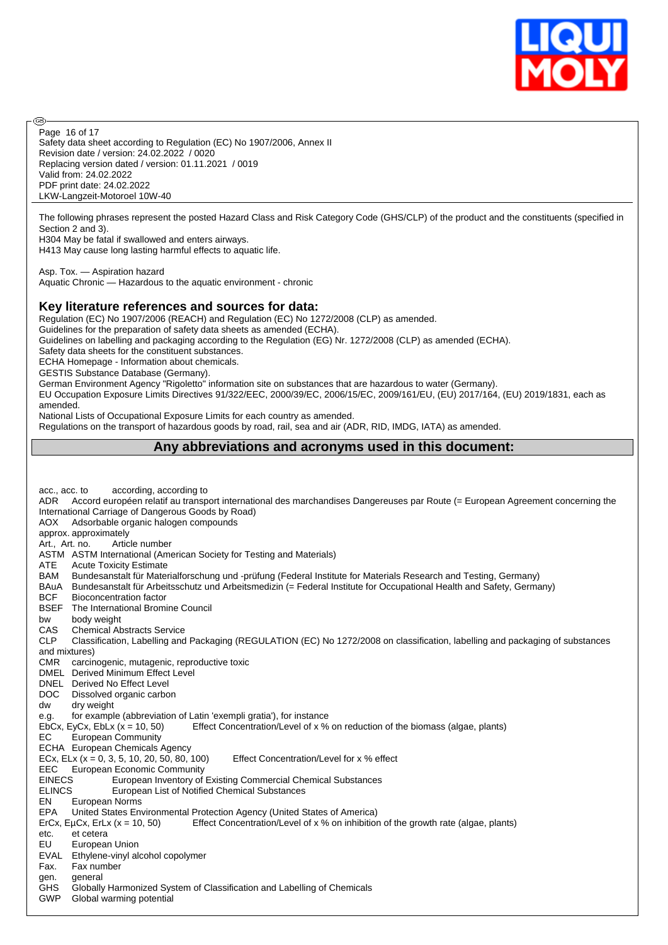

Safety data sheet according to Regulation (EC) No 1907/2006, Annex II Revision date / version: 24.02.2022 / 0020 Replacing version dated / version: 01.11.2021 / 0019 Valid from: 24.02.2022 PDF print date: 24.02.2022 LKW-Langzeit-Motoroel 10W-40 Page 16 of 17

The following phrases represent the posted Hazard Class and Risk Category Code (GHS/CLP) of the product and the constituents (specified in Section 2 and 3).

H304 May be fatal if swallowed and enters airways. H413 May cause long lasting harmful effects to aquatic life.

Asp. Tox. — Aspiration hazard Aquatic Chronic — Hazardous to the aquatic environment - chronic

### **Key literature references and sources for data:**

Regulation (EC) No 1907/2006 (REACH) and Regulation (EC) No 1272/2008 (CLP) as amended.

Guidelines for the preparation of safety data sheets as amended (ECHA).

Guidelines on labelling and packaging according to the Regulation (EG) Nr. 1272/2008 (CLP) as amended (ECHA).

Safety data sheets for the constituent substances.

ECHA Homepage - Information about chemicals.

GESTIS Substance Database (Germany).

**®** 

German Environment Agency "Rigoletto" information site on substances that are hazardous to water (Germany).

EU Occupation Exposure Limits Directives 91/322/EEC, 2000/39/EC, 2006/15/EC, 2009/161/EU, (EU) 2017/164, (EU) 2019/1831, each as amended.

National Lists of Occupational Exposure Limits for each country as amended.

Regulations on the transport of hazardous goods by road, rail, sea and air (ADR, RID, IMDG, IATA) as amended.

### **Any abbreviations and acronyms used in this document:**

| according, according to<br>acc., acc. to                                                                                                     |  |
|----------------------------------------------------------------------------------------------------------------------------------------------|--|
| Accord européen relatif au transport international des marchandises Dangereuses par Route (= European Agreement concerning the<br><b>ADR</b> |  |
| International Carriage of Dangerous Goods by Road)                                                                                           |  |
| Adsorbable organic halogen compounds<br>AOX                                                                                                  |  |
| approx. approximately                                                                                                                        |  |
| Art., Art. no.<br>Article number                                                                                                             |  |
| ASTM ASTM International (American Society for Testing and Materials)                                                                         |  |
| <b>ATE</b><br><b>Acute Toxicity Estimate</b>                                                                                                 |  |
| Bundesanstalt für Materialforschung und -prüfung (Federal Institute for Materials Research and Testing, Germany)<br><b>BAM</b>               |  |
| Bundesanstalt für Arbeitsschutz und Arbeitsmedizin (= Federal Institute for Occupational Health and Safety, Germany)<br>BAuA                 |  |
| <b>BCF</b><br><b>Bioconcentration factor</b>                                                                                                 |  |
| BSEF<br>The International Bromine Council                                                                                                    |  |
| body weight<br>bw                                                                                                                            |  |
| <b>CAS</b><br><b>Chemical Abstracts Service</b>                                                                                              |  |
| <b>CLP</b><br>Classification, Labelling and Packaging (REGULATION (EC) No 1272/2008 on classification, labelling and packaging of substances |  |
| and mixtures)                                                                                                                                |  |
| <b>CMR</b><br>carcinogenic, mutagenic, reproductive toxic                                                                                    |  |
| <b>DMEL</b> Derived Minimum Effect Level                                                                                                     |  |
| DNEL Derived No Effect Level                                                                                                                 |  |
| <b>DOC</b><br>Dissolved organic carbon                                                                                                       |  |
| dry weight<br>dw                                                                                                                             |  |
| for example (abbreviation of Latin 'exempli gratia'), for instance<br>e.g.                                                                   |  |
| EbCx, EyCx, EbLx $(x = 10, 50)$<br>Effect Concentration/Level of x % on reduction of the biomass (algae, plants)                             |  |
| <b>European Community</b><br>EC                                                                                                              |  |
| ECHA European Chemicals Agency                                                                                                               |  |
| Effect Concentration/Level for x % effect<br>ECx, ELx ( $x = 0$ , 3, 5, 10, 20, 50, 80, 100)                                                 |  |
| EEC<br><b>European Economic Community</b>                                                                                                    |  |
| <b>EINECS</b><br>European Inventory of Existing Commercial Chemical Substances                                                               |  |
| <b>ELINCS</b><br>European List of Notified Chemical Substances                                                                               |  |
| European Norms<br>EN                                                                                                                         |  |
| <b>EPA</b><br>United States Environmental Protection Agency (United States of America)                                                       |  |
| Effect Concentration/Level of x % on inhibition of the growth rate (algae, plants)<br>ErCx, EµCx, ErLx $(x = 10, 50)$                        |  |
| et cetera<br>etc.                                                                                                                            |  |
| EU<br>European Union                                                                                                                         |  |
| EVAL Ethylene-vinyl alcohol copolymer                                                                                                        |  |
| Fax number<br>Fax.                                                                                                                           |  |
| general<br>gen.                                                                                                                              |  |
| Globally Harmonized System of Classification and Labelling of Chemicals<br><b>GHS</b>                                                        |  |
| Global warming potential<br><b>GWP</b>                                                                                                       |  |
|                                                                                                                                              |  |